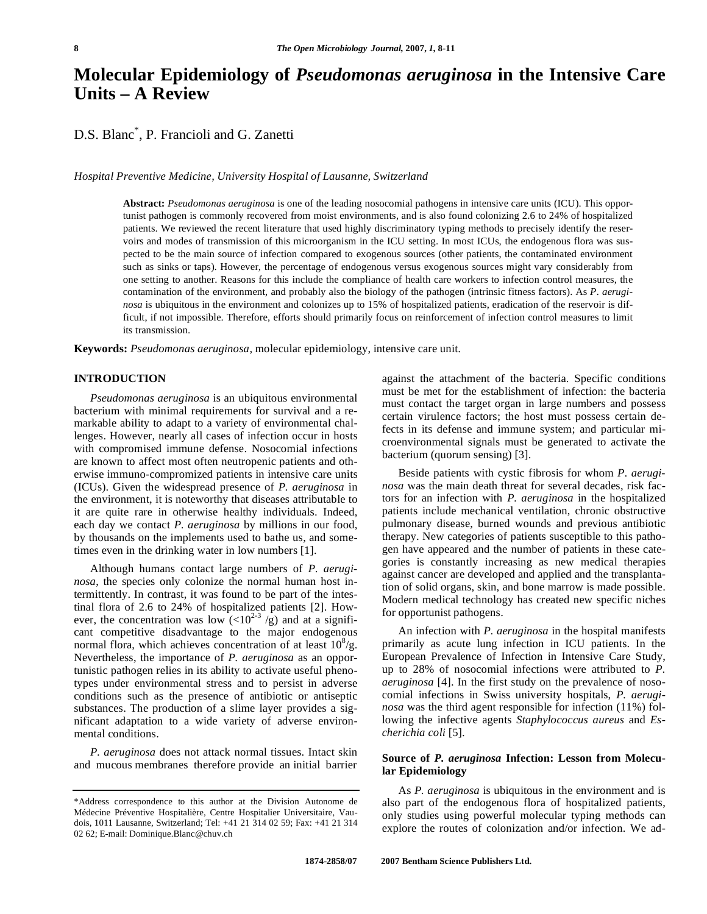# **Molecular Epidemiology of** *Pseudomonas aeruginosa* **in the Intensive Care Units – A Review**

D.S. Blanc\* , P. Francioli and G. Zanetti

*Hospital Preventive Medicine, University Hospital of Lausanne, Switzerland* 

**Abstract:** *Pseudomonas aeruginosa* is one of the leading nosocomial pathogens in intensive care units (ICU). This opportunist pathogen is commonly recovered from moist environments, and is also found colonizing 2.6 to 24% of hospitalized patients. We reviewed the recent literature that used highly discriminatory typing methods to precisely identify the reservoirs and modes of transmission of this microorganism in the ICU setting. In most ICUs, the endogenous flora was suspected to be the main source of infection compared to exogenous sources (other patients, the contaminated environment such as sinks or taps). However, the percentage of endogenous versus exogenous sources might vary considerably from one setting to another. Reasons for this include the compliance of health care workers to infection control measures, the contamination of the environment, and probably also the biology of the pathogen (intrinsic fitness factors). As *P. aeruginosa* is ubiquitous in the environment and colonizes up to 15% of hospitalized patients, eradication of the reservoir is difficult, if not impossible. Therefore, efforts should primarily focus on reinforcement of infection control measures to limit its transmission.

**Keywords:** *Pseudomonas aeruginosa,* molecular epidemiology, intensive care unit.

## **INTRODUCTION**

 *Pseudomonas aeruginosa* is an ubiquitous environmental bacterium with minimal requirements for survival and a remarkable ability to adapt to a variety of environmental challenges. However, nearly all cases of infection occur in hosts with compromised immune defense. Nosocomial infections are known to affect most often neutropenic patients and otherwise immuno-compromized patients in intensive care units (ICUs). Given the widespread presence of *P. aeruginosa* in the environment, it is noteworthy that diseases attributable to it are quite rare in otherwise healthy individuals. Indeed, each day we contact *P. aeruginosa* by millions in our food, by thousands on the implements used to bathe us, and sometimes even in the drinking water in low numbers [1].

 Although humans contact large numbers of *P. aeruginosa*, the species only colonize the normal human host intermittently. In contrast, it was found to be part of the intestinal flora of 2.6 to 24% of hospitalized patients [2]. However, the concentration was low  $(<10^{2-3}/g)$  and at a significant competitive disadvantage to the major endogenous normal flora, which achieves concentration of at least  $10^8$ /g. Nevertheless, the importance of *P. aeruginosa* as an opportunistic pathogen relies in its ability to activate useful phenotypes under environmental stress and to persist in adverse conditions such as the presence of antibiotic or antiseptic substances. The production of a slime layer provides a significant adaptation to a wide variety of adverse environmental conditions.

 *P. aeruginosa* does not attack normal tissues. Intact skin and mucous membranes therefore provide an initial barrier against the attachment of the bacteria. Specific conditions must be met for the establishment of infection: the bacteria must contact the target organ in large numbers and possess certain virulence factors; the host must possess certain defects in its defense and immune system; and particular microenvironmental signals must be generated to activate the bacterium (quorum sensing) [3].

 Beside patients with cystic fibrosis for whom *P. aeruginosa* was the main death threat for several decades, risk factors for an infection with *P. aeruginosa* in the hospitalized patients include mechanical ventilation, chronic obstructive pulmonary disease, burned wounds and previous antibiotic therapy. New categories of patients susceptible to this pathogen have appeared and the number of patients in these categories is constantly increasing as new medical therapies against cancer are developed and applied and the transplantation of solid organs, skin, and bone marrow is made possible. Modern medical technology has created new specific niches for opportunist pathogens.

 An infection with *P. aeruginosa* in the hospital manifests primarily as acute lung infection in ICU patients. In the European Prevalence of Infection in Intensive Care Study, up to 28% of nosocomial infections were attributed to *P. aeruginosa* [4]. In the first study on the prevalence of nosocomial infections in Swiss university hospitals, *P. aeruginosa* was the third agent responsible for infection (11%) following the infective agents *Staphylococcus aureus* and *Escherichia coli* [5].

## **Source of** *P. aeruginosa* **Infection: Lesson from Molecular Epidemiology**

 As *P. aeruginosa* is ubiquitous in the environment and is also part of the endogenous flora of hospitalized patients, only studies using powerful molecular typing methods can explore the routes of colonization and/or infection. We ad-

<sup>\*</sup>Address correspondence to this author at the Division Autonome de Médecine Préventive Hospitalière, Centre Hospitalier Universitaire, Vaudois, 1011 Lausanne, Switzerland; Tel: +41 21 314 02 59; Fax: +41 21 314 02 62; E-mail: Dominique.Blanc@chuv.ch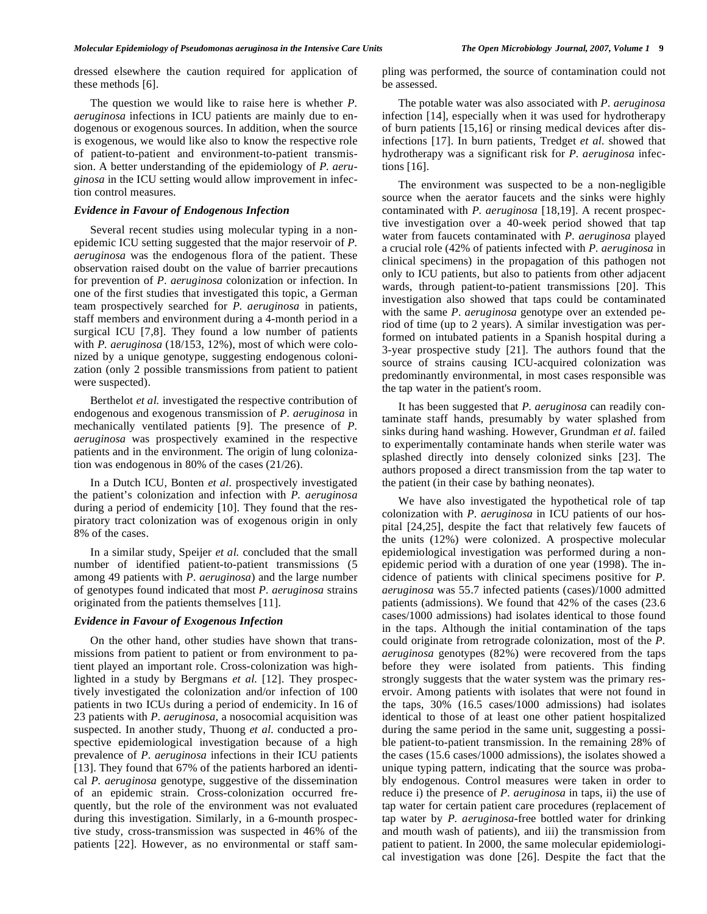dressed elsewhere the caution required for application of these methods [6].

 The question we would like to raise here is whether *P. aeruginosa* infections in ICU patients are mainly due to endogenous or exogenous sources. In addition, when the source is exogenous, we would like also to know the respective role of patient-to-patient and environment-to-patient transmission. A better understanding of the epidemiology of *P. aeruginosa* in the ICU setting would allow improvement in infection control measures.

## *Evidence in Favour of Endogenous Infection*

 Several recent studies using molecular typing in a nonepidemic ICU setting suggested that the major reservoir of *P. aeruginosa* was the endogenous flora of the patient. These observation raised doubt on the value of barrier precautions for prevention of *P. aeruginosa* colonization or infection. In one of the first studies that investigated this topic, a German team prospectively searched for *P. aeruginosa* in patients, staff members and environment during a 4-month period in a surgical ICU [7,8]. They found a low number of patients with *P. aeruginosa* (18/153, 12%), most of which were colonized by a unique genotype, suggesting endogenous colonization (only 2 possible transmissions from patient to patient were suspected).

 Berthelot *et al.* investigated the respective contribution of endogenous and exogenous transmission of *P. aeruginosa* in mechanically ventilated patients [9]. The presence of *P. aeruginosa* was prospectively examined in the respective patients and in the environment. The origin of lung colonization was endogenous in 80% of the cases (21/26).

 In a Dutch ICU, Bonten *et al.* prospectively investigated the patient's colonization and infection with *P. aeruginosa* during a period of endemicity [10]. They found that the respiratory tract colonization was of exogenous origin in only 8% of the cases.

 In a similar study, Speijer *et al.* concluded that the small number of identified patient-to-patient transmissions (5 among 49 patients with *P. aeruginosa*) and the large number of genotypes found indicated that most *P. aeruginosa* strains originated from the patients themselves [11].

#### *Evidence in Favour of Exogenous Infection*

 On the other hand, other studies have shown that transmissions from patient to patient or from environment to patient played an important role. Cross-colonization was highlighted in a study by Bergmans *et al.* [12]. They prospectively investigated the colonization and/or infection of 100 patients in two ICUs during a period of endemicity. In 16 of 23 patients with *P. aeruginosa*, a nosocomial acquisition was suspected. In another study, Thuong *et al.* conducted a prospective epidemiological investigation because of a high prevalence of *P. aeruginosa* infections in their ICU patients [13]. They found that 67% of the patients harbored an identical *P. aeruginosa* genotype, suggestive of the dissemination of an epidemic strain. Cross-colonization occurred frequently, but the role of the environment was not evaluated during this investigation. Similarly, in a 6-mounth prospective study, cross-transmission was suspected in 46% of the patients [22]. However, as no environmental or staff sampling was performed, the source of contamination could not be assessed.

 The potable water was also associated with *P. aeruginosa* infection [14], especially when it was used for hydrotherapy of burn patients [15,16] or rinsing medical devices after disinfections [17]. In burn patients, Tredget *et al.* showed that hydrotherapy was a significant risk for *P. aeruginosa* infections [16].

 The environment was suspected to be a non-negligible source when the aerator faucets and the sinks were highly contaminated with *P. aeruginosa* [18,19]. A recent prospective investigation over a 40-week period showed that tap water from faucets contaminated with *P. aeruginosa* played a crucial role (42% of patients infected with *P. aeruginosa* in clinical specimens) in the propagation of this pathogen not only to ICU patients, but also to patients from other adjacent wards, through patient-to-patient transmissions [20]. This investigation also showed that taps could be contaminated with the same *P. aeruginosa* genotype over an extended period of time (up to 2 years). A similar investigation was performed on intubated patients in a Spanish hospital during a 3-year prospective study [21]. The authors found that the source of strains causing ICU-acquired colonization was predominantly environmental, in most cases responsible was the tap water in the patient's room.

 It has been suggested that *P. aeruginosa* can readily contaminate staff hands, presumably by water splashed from sinks during hand washing. However, Grundman *et al.* failed to experimentally contaminate hands when sterile water was splashed directly into densely colonized sinks [23]. The authors proposed a direct transmission from the tap water to the patient (in their case by bathing neonates).

 We have also investigated the hypothetical role of tap colonization with *P. aeruginosa* in ICU patients of our hospital [24,25], despite the fact that relatively few faucets of the units (12%) were colonized. A prospective molecular epidemiological investigation was performed during a nonepidemic period with a duration of one year (1998). The incidence of patients with clinical specimens positive for *P. aeruginosa* was 55.7 infected patients (cases)/1000 admitted patients (admissions). We found that 42% of the cases (23.6 cases/1000 admissions) had isolates identical to those found in the taps. Although the initial contamination of the taps could originate from retrograde colonization, most of the *P. aeruginosa* genotypes (82%) were recovered from the taps before they were isolated from patients. This finding strongly suggests that the water system was the primary reservoir. Among patients with isolates that were not found in the taps, 30% (16.5 cases/1000 admissions) had isolates identical to those of at least one other patient hospitalized during the same period in the same unit, suggesting a possible patient-to-patient transmission. In the remaining 28% of the cases (15.6 cases/1000 admissions), the isolates showed a unique typing pattern, indicating that the source was probably endogenous. Control measures were taken in order to reduce i) the presence of *P. aeruginosa* in taps, ii) the use of tap water for certain patient care procedures (replacement of tap water by *P. aeruginosa*-free bottled water for drinking and mouth wash of patients), and iii) the transmission from patient to patient. In 2000, the same molecular epidemiological investigation was done [26]. Despite the fact that the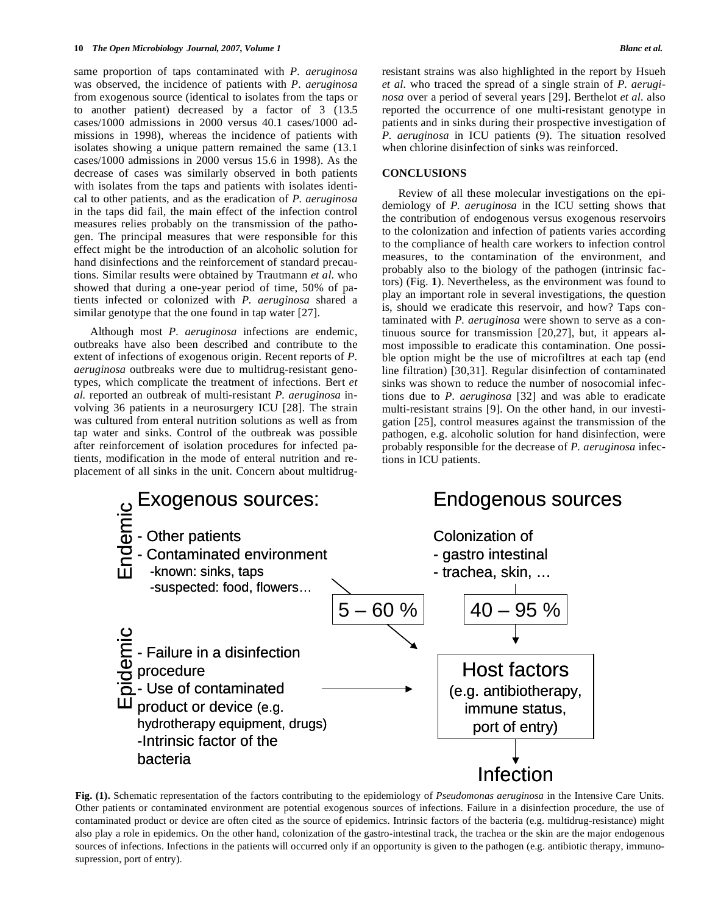same proportion of taps contaminated with *P. aeruginosa* was observed, the incidence of patients with *P. aeruginosa* from exogenous source (identical to isolates from the taps or to another patient) decreased by a factor of 3 (13.5 cases/1000 admissions in 2000 versus 40.1 cases/1000 admissions in 1998), whereas the incidence of patients with isolates showing a unique pattern remained the same (13.1 cases/1000 admissions in 2000 versus 15.6 in 1998). As the decrease of cases was similarly observed in both patients with isolates from the taps and patients with isolates identical to other patients, and as the eradication of *P. aeruginosa* in the taps did fail, the main effect of the infection control measures relies probably on the transmission of the pathogen. The principal measures that were responsible for this effect might be the introduction of an alcoholic solution for hand disinfections and the reinforcement of standard precautions. Similar results were obtained by Trautmann *et al*. who showed that during a one-year period of time, 50% of patients infected or colonized with *P. aeruginosa* shared a similar genotype that the one found in tap water [27].

 Although most *P. aeruginosa* infections are endemic, outbreaks have also been described and contribute to the extent of infections of exogenous origin. Recent reports of *P. aeruginosa* outbreaks were due to multidrug-resistant genotypes, which complicate the treatment of infections. Bert *et al.* reported an outbreak of multi-resistant *P. aeruginosa* involving 36 patients in a neurosurgery ICU [28]. The strain was cultured from enteral nutrition solutions as well as from tap water and sinks. Control of the outbreak was possible after reinforcement of isolation procedures for infected patients, modification in the mode of enteral nutrition and replacement of all sinks in the unit. Concern about multidrugresistant strains was also highlighted in the report by Hsueh *et al.* who traced the spread of a single strain of *P. aeruginosa* over a period of several years [29]. Berthelot *et al.* also reported the occurrence of one multi-resistant genotype in patients and in sinks during their prospective investigation of *P. aeruginosa* in ICU patients (9). The situation resolved when chlorine disinfection of sinks was reinforced.

## **CONCLUSIONS**

 Review of all these molecular investigations on the epidemiology of *P. aeruginosa* in the ICU setting shows that the contribution of endogenous versus exogenous reservoirs to the colonization and infection of patients varies according to the compliance of health care workers to infection control measures, to the contamination of the environment, and probably also to the biology of the pathogen (intrinsic factors) (Fig. **1**). Nevertheless, as the environment was found to play an important role in several investigations, the question is, should we eradicate this reservoir, and how? Taps contaminated with *P. aeruginosa* were shown to serve as a continuous source for transmission [20,27], but, it appears almost impossible to eradicate this contamination. One possible option might be the use of microfiltres at each tap (end line filtration) [30,31]. Regular disinfection of contaminated sinks was shown to reduce the number of nosocomial infections due to *P. aeruginosa* [32] and was able to eradicate multi-resistant strains [9]. On the other hand, in our investigation [25], control measures against the transmission of the pathogen, e.g. alcoholic solution for hand disinfection, were probably responsible for the decrease of *P. aeruginosa* infections in ICU patients.



**Fig. (1).** Schematic representation of the factors contributing to the epidemiology of *Pseudomonas aeruginosa* in the Intensive Care Units. Other patients or contaminated environment are potential exogenous sources of infections. Failure in a disinfection procedure, the use of contaminated product or device are often cited as the source of epidemics. Intrinsic factors of the bacteria (e.g. multidrug-resistance) might also play a role in epidemics. On the other hand, colonization of the gastro-intestinal track, the trachea or the skin are the major endogenous sources of infections. Infections in the patients will occurred only if an opportunity is given to the pathogen (e.g. antibiotic therapy, immunosupression, port of entry).